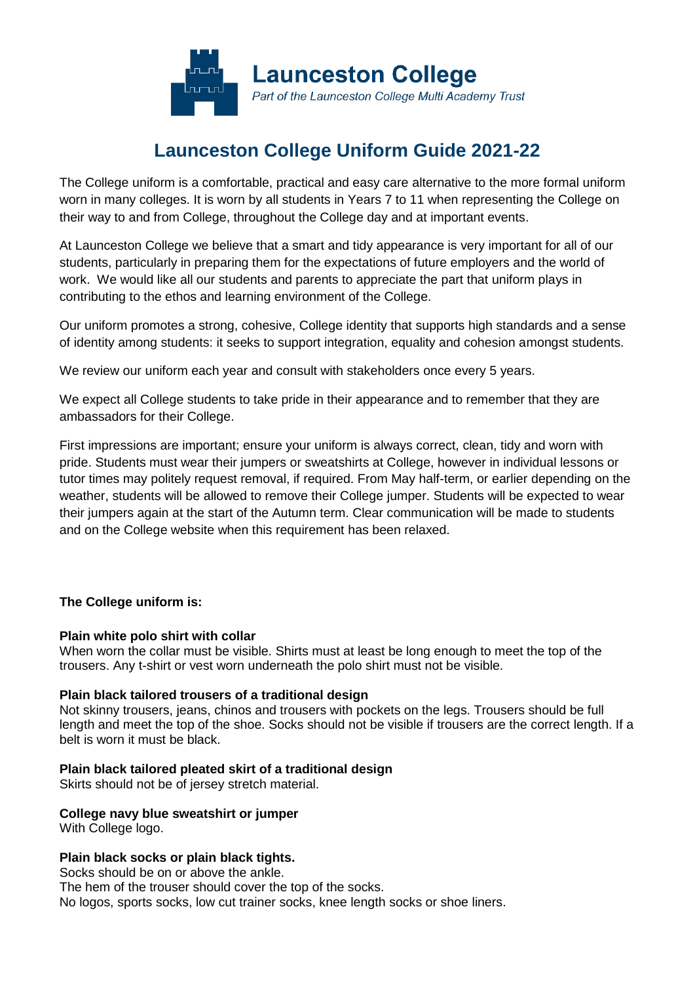

# **Launceston College Uniform Guide 2021-22**

The College uniform is a comfortable, practical and easy care alternative to the more formal uniform worn in many colleges. It is worn by all students in Years 7 to 11 when representing the College on their way to and from College, throughout the College day and at important events.

At Launceston College we believe that a smart and tidy appearance is very important for all of our students, particularly in preparing them for the expectations of future employers and the world of work. We would like all our students and parents to appreciate the part that uniform plays in contributing to the ethos and learning environment of the College.

Our uniform promotes a strong, cohesive, College identity that supports high standards and a sense of identity among students: it seeks to support integration, equality and cohesion amongst students.

We review our uniform each year and consult with stakeholders once every 5 years.

We expect all College students to take pride in their appearance and to remember that they are ambassadors for their College.

First impressions are important; ensure your uniform is always correct, clean, tidy and worn with pride. Students must wear their jumpers or sweatshirts at College, however in individual lessons or tutor times may politely request removal, if required. From May half-term, or earlier depending on the weather, students will be allowed to remove their College jumper. Students will be expected to wear their jumpers again at the start of the Autumn term. Clear communication will be made to students and on the College website when this requirement has been relaxed.

# **The College uniform is:**

#### **Plain white polo shirt with collar**

When worn the collar must be visible. Shirts must at least be long enough to meet the top of the trousers. Any t-shirt or vest worn underneath the polo shirt must not be visible.

#### **Plain black tailored trousers of a traditional design**

Not skinny trousers, jeans, chinos and trousers with pockets on the legs. Trousers should be full length and meet the top of the shoe. Socks should not be visible if trousers are the correct length. If a belt is worn it must be black.

#### **Plain black tailored pleated skirt of a traditional design**

Skirts should not be of jersey stretch material.

**College navy blue sweatshirt or jumper**

With College logo.

# **Plain black socks or plain black tights.**

Socks should be on or above the ankle. The hem of the trouser should cover the top of the socks. No logos, sports socks, low cut trainer socks, knee length socks or shoe liners.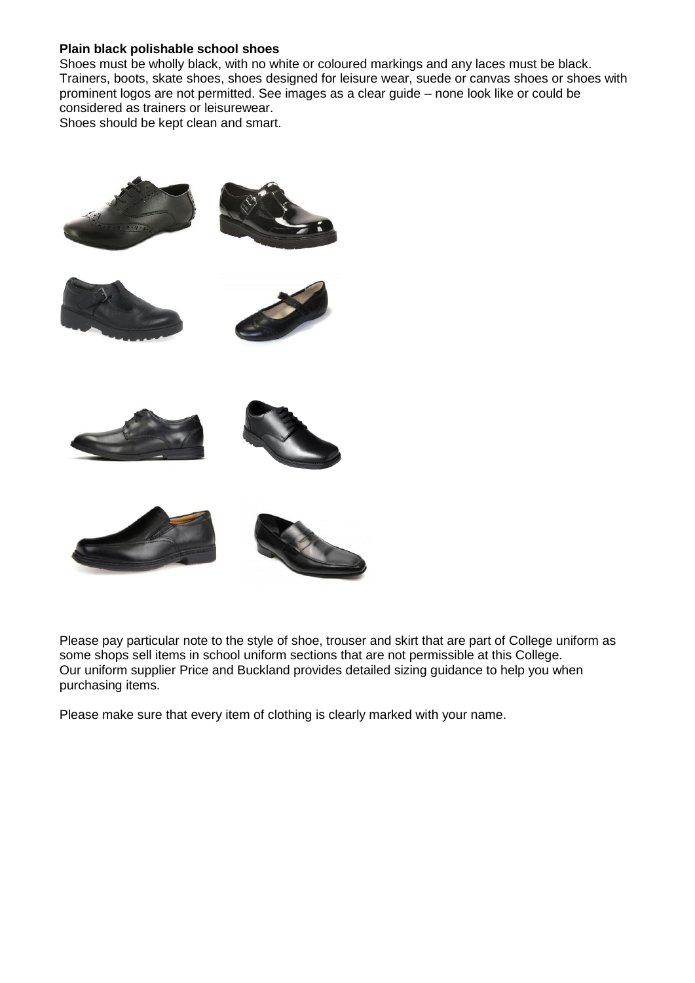#### **Plain black polishable school shoes**

Shoes must be wholly black, with no white or coloured markings and any laces must be black. Trainers, boots, skate shoes, shoes designed for leisure wear, suede or canvas shoes or shoes with prominent logos are not permitted. See images as a clear guide – none look like or could be considered as trainers or leisurewear.

Shoes should be kept clean and smart.



Please pay particular note to the style of shoe, trouser and skirt that are part of College uniform as some shops sell items in school uniform sections that are not permissible at this College. Our uniform supplier Price and Buckland provides detailed sizing guidance to help you when purchasing items.

Please make sure that every item of clothing is clearly marked with your name.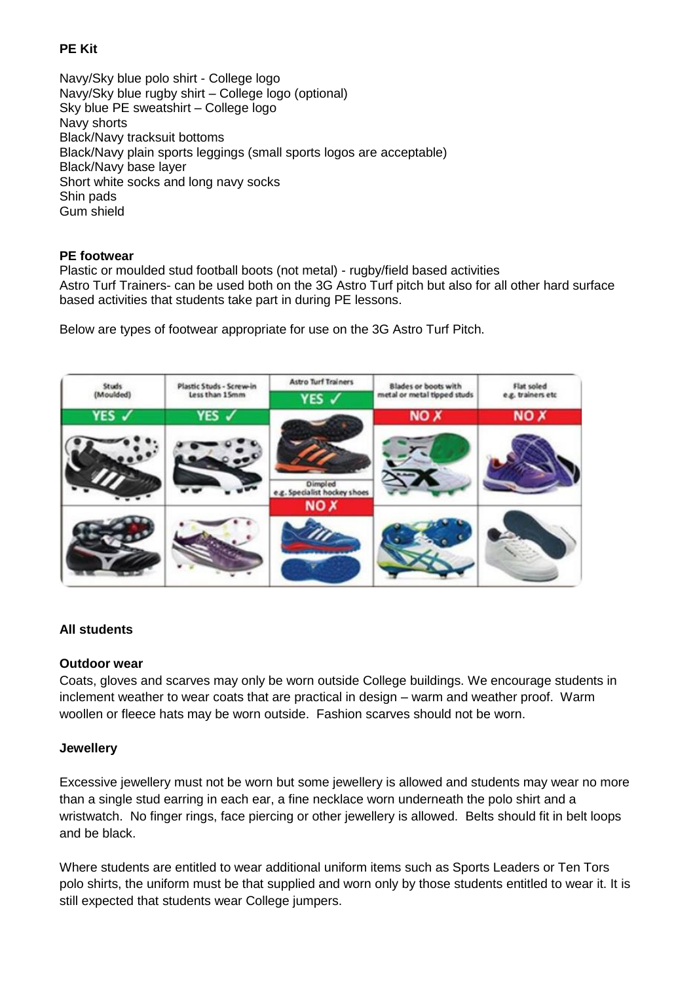# **PE Kit**

Navy/Sky blue polo shirt - College logo Navy/Sky blue rugby shirt – College logo (optional) Sky blue PE sweatshirt – College logo Navy shorts Black/Navy tracksuit bottoms Black/Navy plain sports leggings (small sports logos are acceptable) Black/Navy base layer Short white socks and long navy socks Shin pads Gum shield

## **PE footwear**

Plastic or moulded stud football boots (not metal) - rugby/field based activities Astro Turf Trainers- can be used both on the 3G Astro Turf pitch but also for all other hard surface based activities that students take part in during PE lessons.

Below are types of footwear appropriate for use on the 3G Astro Turf Pitch.



# **All students**

#### **Outdoor wear**

Coats, gloves and scarves may only be worn outside College buildings. We encourage students in inclement weather to wear coats that are practical in design – warm and weather proof. Warm woollen or fleece hats may be worn outside. Fashion scarves should not be worn.

#### **Jewellery**

Excessive jewellery must not be worn but some jewellery is allowed and students may wear no more than a single stud earring in each ear, a fine necklace worn underneath the polo shirt and a wristwatch.No finger rings, face piercing or other jewellery is allowed. Belts should fit in belt loops and be black.

Where students are entitled to wear additional uniform items such as Sports Leaders or Ten Tors polo shirts, the uniform must be that supplied and worn only by those students entitled to wear it. It is still expected that students wear College jumpers.